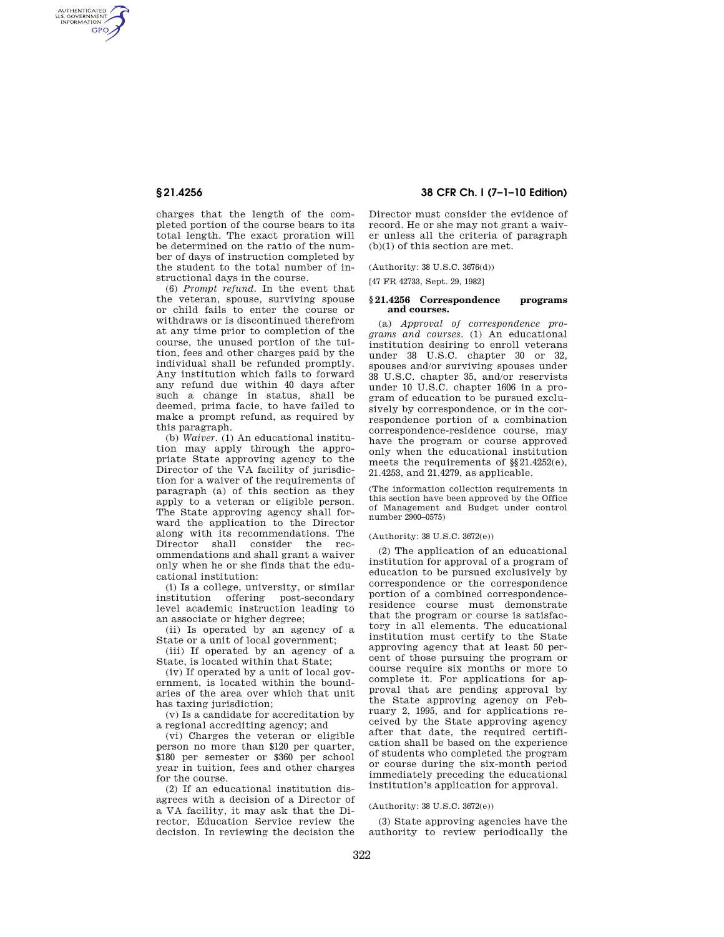AUTHENTICATED<br>U.S. GOVERNMENT<br>INFORMATION **GPO** 

> charges that the length of the completed portion of the course bears to its total length. The exact proration will be determined on the ratio of the number of days of instruction completed by the student to the total number of instructional days in the course.

> (6) *Prompt refund.* In the event that the veteran, spouse, surviving spouse or child fails to enter the course or withdraws or is discontinued therefrom at any time prior to completion of the course, the unused portion of the tuition, fees and other charges paid by the individual shall be refunded promptly. Any institution which fails to forward any refund due within 40 days after such a change in status, shall be deemed, prima facie, to have failed to make a prompt refund, as required by this paragraph.

> (b) *Waiver.* (1) An educational institution may apply through the appropriate State approving agency to the Director of the VA facility of jurisdiction for a waiver of the requirements of paragraph (a) of this section as they apply to a veteran or eligible person. The State approving agency shall forward the application to the Director along with its recommendations. The Director shall consider the recommendations and shall grant a waiver only when he or she finds that the educational institution:

> (i) Is a college, university, or similar institution offering post-secondary level academic instruction leading to an associate or higher degree;

> (ii) Is operated by an agency of a State or a unit of local government;

> (iii) If operated by an agency of a State, is located within that State;

> (iv) If operated by a unit of local government, is located within the boundaries of the area over which that unit has taxing jurisdiction:

> (v) Is a candidate for accreditation by a regional accrediting agency; and

> (vi) Charges the veteran or eligible person no more than \$120 per quarter, \$180 per semester or \$360 per school year in tuition, fees and other charges for the course.

> (2) If an educational institution disagrees with a decision of a Director of a VA facility, it may ask that the Director, Education Service review the decision. In reviewing the decision the

# **§ 21.4256 38 CFR Ch. I (7–1–10 Edition)**

Director must consider the evidence of record. He or she may not grant a waiver unless all the criteria of paragraph (b)(1) of this section are met.

(Authority: 38 U.S.C. 3676(d))

[47 FR 42733, Sept. 29, 1982]

### **§ 21.4256 Correspondence programs and courses.**

(a) *Approval of correspondence programs and courses.* (1) An educational institution desiring to enroll veterans under 38 U.S.C. chapter 30 or 32, spouses and/or surviving spouses under 38 U.S.C. chapter 35, and/or reservists under 10 U.S.C. chapter 1606 in a program of education to be pursued exclusively by correspondence, or in the correspondence portion of a combination correspondence-residence course, may have the program or course approved only when the educational institution meets the requirements of §§21.4252(e), 21.4253, and 21.4279, as applicable.

(The information collection requirements in this section have been approved by the Office of Management and Budget under control number 2900–0575)

#### (Authority: 38 U.S.C. 3672(e))

(2) The application of an educational institution for approval of a program of education to be pursued exclusively by correspondence or the correspondence portion of a combined correspondenceresidence course must demonstrate that the program or course is satisfactory in all elements. The educational institution must certify to the State approving agency that at least 50 percent of those pursuing the program or course require six months or more to complete it. For applications for approval that are pending approval by the State approving agency on February 2, 1995, and for applications received by the State approving agency after that date, the required certification shall be based on the experience of students who completed the program or course during the six-month period immediately preceding the educational institution's application for approval.

(Authority: 38 U.S.C. 3672(e))

(3) State approving agencies have the authority to review periodically the